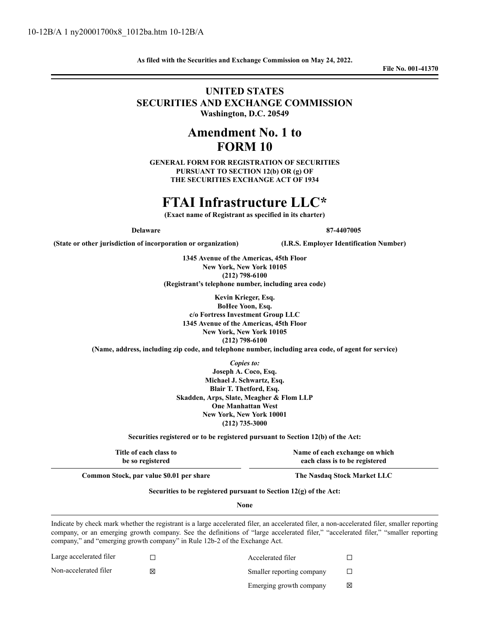**As filed with the Securities and Exchange Commission on May 24, 2022.**

**File No. 001-41370**

## **UNITED STATES SECURITIES AND EXCHANGE COMMISSION Washington, D.C. 20549**

## **Amendment No. 1 to FORM 10**

**GENERAL FORM FOR REGISTRATION OF SECURITIES PURSUANT TO SECTION 12(b) OR (g) OF THE SECURITIES EXCHANGE ACT OF 1934**

# **FTAI Infrastructure LLC\***

**(Exact name of Registrant as specified in its charter)**

**Delaware 87-4407005**

**(State or other jurisdiction of incorporation or organization) (I.R.S. Employer Identification Number)**

**1345 Avenue of the Americas, 45th Floor New York, New York 10105 (212) 798-6100 (Registrant's telephone number, including area code)**

**Kevin Krieger, Esq. BoHee Yoon, Esq. c/o Fortress Investment Group LLC 1345 Avenue of the Americas, 45th Floor New York, New York 10105 (212) 798-6100 (Name, address, including zip code, and telephone number, including area code, of agent for service)**

*Copies to:*

**Joseph A. Coco, Esq. Michael J. Schwartz, Esq. Blair T. Thetford, Esq. Skadden, Arps, Slate, Meagher & Flom LLP One Manhattan West New York, New York 10001 (212) 735-3000**

**Securities registered or to be registered pursuant to Section 12(b) of the Act:**

**Title of each class to be so registered**

**Name of each exchange on which each class is to be registered**

**Common Stock, par value \$0.01 per share The Nasdaq Stock Market LLC**

## **Securities to be registered pursuant to Section 12(g) of the Act:**

**None**

Indicate by check mark whether the registrant is a large accelerated filer, an accelerated filer, a non-accelerated filer, smaller reporting company, or an emerging growth company. See the definitions of "large accelerated filer," "accelerated filer," "smaller reporting company," and "emerging growth company" in Rule 12b-2 of the Exchange Act.

| Large accelerated filer | Accelerated filer         |  |
|-------------------------|---------------------------|--|
| Non-accelerated filer   | Smaller reporting company |  |
|                         | Emerging growth company   |  |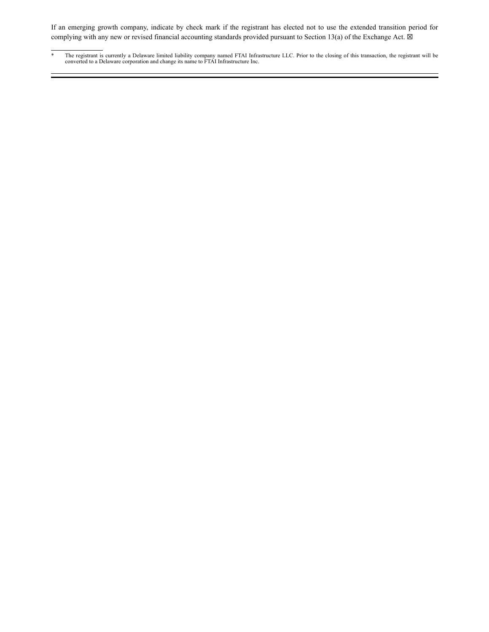If an emerging growth company, indicate by check mark if the registrant has elected not to use the extended transition period for complying with any new or revised financial accounting standards provided pursuant to Section 13(a) of the Exchange Act.  $\boxtimes$ 

<sup>\*</sup> The registrant is currently a Delaware limited liability company named FTAI Infrastructure LLC. Prior to the closing of this transaction, the registrant will be converted to a Delaware corporation and change its name to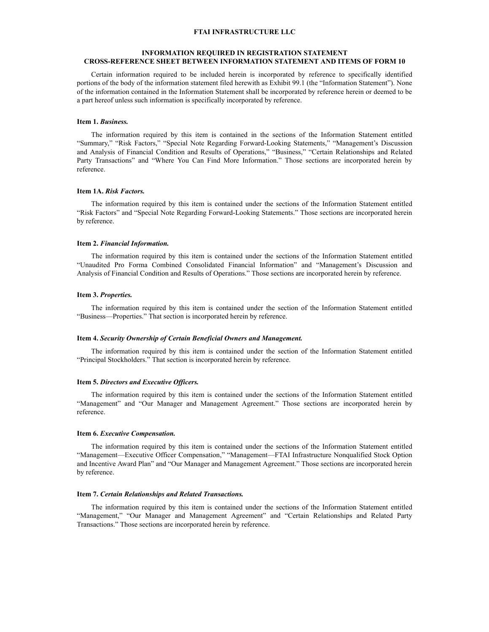#### **FTAI INFRASTRUCTURE LLC**

#### **INFORMATION REQUIRED IN REGISTRATION STATEMENT CROSS-REFERENCE SHEET BETWEEN INFORMATION STATEMENT AND ITEMS OF FORM 10**

Certain information required to be included herein is incorporated by reference to specifically identified portions of the body of the information statement filed herewith as Exhibit 99.1 (the "Information Statement"). None of the information contained in the Information Statement shall be incorporated by reference herein or deemed to be a part hereof unless such information is specifically incorporated by reference.

#### **Item 1.** *Business.*

The information required by this item is contained in the sections of the Information Statement entitled "Summary," "Risk Factors," "Special Note Regarding Forward-Looking Statements," "Management's Discussion and Analysis of Financial Condition and Results of Operations," "Business," "Certain Relationships and Related Party Transactions" and "Where You Can Find More Information." Those sections are incorporated herein by reference.

#### **Item 1A.** *Risk Factors.*

The information required by this item is contained under the sections of the Information Statement entitled "Risk Factors" and "Special Note Regarding Forward-Looking Statements." Those sections are incorporated herein by reference.

#### **Item 2.** *Financial Information.*

The information required by this item is contained under the sections of the Information Statement entitled "Unaudited Pro Forma Combined Consolidated Financial Information" and "Management's Discussion and Analysis of Financial Condition and Results of Operations." Those sections are incorporated herein by reference.

#### **Item 3.** *Properties.*

The information required by this item is contained under the section of the Information Statement entitled "Business—Properties." That section is incorporated herein by reference.

#### **Item 4.** *Security Ownership of Certain Beneficial Owners and Management.*

The information required by this item is contained under the section of the Information Statement entitled "Principal Stockholders." That section is incorporated herein by reference.

#### **Item 5.** *Directors and Executive Of icers.*

The information required by this item is contained under the sections of the Information Statement entitled "Management" and "Our Manager and Management Agreement." Those sections are incorporated herein by reference.

#### **Item 6.** *Executive Compensation.*

The information required by this item is contained under the sections of the Information Statement entitled "Management—Executive Officer Compensation," "Management—FTAI Infrastructure Nonqualified Stock Option and Incentive Award Plan" and "Our Manager and Management Agreement." Those sections are incorporated herein by reference.

#### **Item 7.** *Certain Relationships and Related Transactions.*

The information required by this item is contained under the sections of the Information Statement entitled "Management," "Our Manager and Management Agreement" and "Certain Relationships and Related Party Transactions." Those sections are incorporated herein by reference.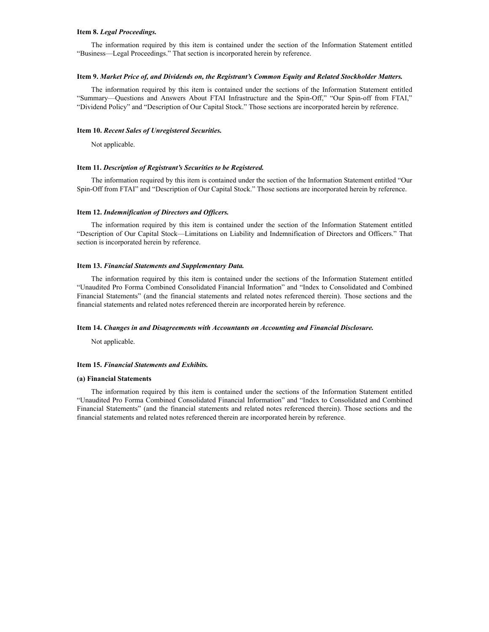#### **Item 8.** *Legal Proceedings.*

The information required by this item is contained under the section of the Information Statement entitled "Business—Legal Proceedings." That section is incorporated herein by reference.

#### **Item 9.** *Market Price of, and Dividends on, the Registrant's Common Equity and Related Stockholder Matters.*

The information required by this item is contained under the sections of the Information Statement entitled "Summary—Questions and Answers About FTAI Infrastructure and the Spin-Off," "Our Spin-off from FTAI," "Dividend Policy" and "Description of Our Capital Stock." Those sections are incorporated herein by reference.

#### **Item 10.** *Recent Sales of Unregistered Securities.*

Not applicable.

#### **Item 11.** *Description of Registrant's Securities to be Registered.*

The information required by this item is contained under the section of the Information Statement entitled "Our Spin-Off from FTAI" and "Description of Our Capital Stock." Those sections are incorporated herein by reference.

#### **Item 12.** *Indemnification of Directors and Of icers.*

The information required by this item is contained under the section of the Information Statement entitled "Description of Our Capital Stock—Limitations on Liability and Indemnification of Directors and Officers." That section is incorporated herein by reference.

#### **Item 13.** *Financial Statements and Supplementary Data.*

The information required by this item is contained under the sections of the Information Statement entitled "Unaudited Pro Forma Combined Consolidated Financial Information" and "Index to Consolidated and Combined Financial Statements" (and the financial statements and related notes referenced therein). Those sections and the financial statements and related notes referenced therein are incorporated herein by reference.

#### **Item 14.** *Changes in and Disagreements with Accountants on Accounting and Financial Disclosure.*

Not applicable.

#### **Item 15.** *Financial Statements and Exhibits.*

#### **(a) Financial Statements**

The information required by this item is contained under the sections of the Information Statement entitled "Unaudited Pro Forma Combined Consolidated Financial Information" and "Index to Consolidated and Combined Financial Statements" (and the financial statements and related notes referenced therein). Those sections and the financial statements and related notes referenced therein are incorporated herein by reference.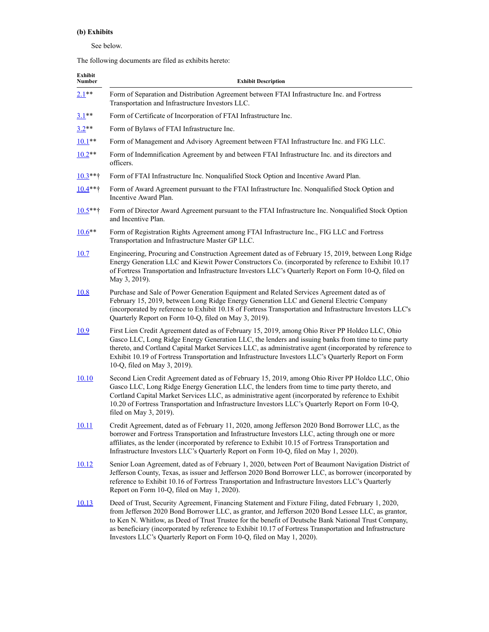## **(b) Exhibits**

### See below.

The following documents are filed as exhibits hereto:

| Exhibit<br>Number | <b>Exhibit Description</b>                                                                                                                                                                                                                                                                                                                                                                                                                                                                            |
|-------------------|-------------------------------------------------------------------------------------------------------------------------------------------------------------------------------------------------------------------------------------------------------------------------------------------------------------------------------------------------------------------------------------------------------------------------------------------------------------------------------------------------------|
| $2.1**$           | Form of Separation and Distribution Agreement between FTAI Infrastructure Inc. and Fortress<br>Transportation and Infrastructure Investors LLC.                                                                                                                                                                                                                                                                                                                                                       |
| $3.1***$          | Form of Certificate of Incorporation of FTAI Infrastructure Inc.                                                                                                                                                                                                                                                                                                                                                                                                                                      |
| $3.2**$           | Form of Bylaws of FTAI Infrastructure Inc.                                                                                                                                                                                                                                                                                                                                                                                                                                                            |
| $10.1**$          | Form of Management and Advisory Agreement between FTAI Infrastructure Inc. and FIG LLC.                                                                                                                                                                                                                                                                                                                                                                                                               |
| $10.2**$          | Form of Indemnification Agreement by and between FTAI Infrastructure Inc. and its directors and<br>officers.                                                                                                                                                                                                                                                                                                                                                                                          |
| $10.3$ **†        | Form of FTAI Infrastructure Inc. Nonqualified Stock Option and Incentive Award Plan.                                                                                                                                                                                                                                                                                                                                                                                                                  |
| $10.4***$         | Form of Award Agreement pursuant to the FTAI Infrastructure Inc. Nonqualified Stock Option and<br>Incentive Award Plan.                                                                                                                                                                                                                                                                                                                                                                               |
| $10.5***$         | Form of Director Award Agreement pursuant to the FTAI Infrastructure Inc. Nonqualified Stock Option<br>and Incentive Plan.                                                                                                                                                                                                                                                                                                                                                                            |
| $10.6***$         | Form of Registration Rights Agreement among FTAI Infrastructure Inc., FIG LLC and Fortress<br>Transportation and Infrastructure Master GP LLC.                                                                                                                                                                                                                                                                                                                                                        |
| 10.7              | Engineering, Procuring and Construction Agreement dated as of February 15, 2019, between Long Ridge<br>Energy Generation LLC and Kiewit Power Constructors Co. (incorporated by reference to Exhibit 10.17<br>of Fortress Transportation and Infrastructure Investors LLC's Quarterly Report on Form 10-Q, filed on<br>May 3, 2019).                                                                                                                                                                  |
| <u>10.8</u>       | Purchase and Sale of Power Generation Equipment and Related Services Agreement dated as of<br>February 15, 2019, between Long Ridge Energy Generation LLC and General Electric Company<br>(incorporated by reference to Exhibit 10.18 of Fortress Transportation and Infrastructure Investors LLC's<br>Quarterly Report on Form 10-Q, filed on May 3, 2019).                                                                                                                                          |
| <u>10.9</u>       | First Lien Credit Agreement dated as of February 15, 2019, among Ohio River PP Holdco LLC, Ohio<br>Gasco LLC, Long Ridge Energy Generation LLC, the lenders and issuing banks from time to time party<br>thereto, and Cortland Capital Market Services LLC, as administrative agent (incorporated by reference to<br>Exhibit 10.19 of Fortress Transportation and Infrastructure Investors LLC's Quarterly Report on Form<br>10-Q, filed on May 3, 2019).                                             |
| <u>10.10</u>      | Second Lien Credit Agreement dated as of February 15, 2019, among Ohio River PP Holdco LLC, Ohio<br>Gasco LLC, Long Ridge Energy Generation LLC, the lenders from time to time party thereto, and<br>Cortland Capital Market Services LLC, as administrative agent (incorporated by reference to Exhibit<br>10.20 of Fortress Transportation and Infrastructure Investors LLC's Quarterly Report on Form 10-Q,<br>filed on May 3, 2019).                                                              |
| 10.11             | Credit Agreement, dated as of February 11, 2020, among Jefferson 2020 Bond Borrower LLC, as the<br>borrower and Fortress Transportation and Infrastructure Investors LLC, acting through one or more<br>affiliates, as the lender (incorporated by reference to Exhibit 10.15 of Fortress Transportation and<br>Infrastructure Investors LLC's Quarterly Report on Form 10-Q, filed on May 1, 2020).                                                                                                  |
| 10.12             | Senior Loan Agreement, dated as of February 1, 2020, between Port of Beaumont Navigation District of<br>Jefferson County, Texas, as issuer and Jefferson 2020 Bond Borrower LLC, as borrower (incorporated by<br>reference to Exhibit 10.16 of Fortress Transportation and Infrastructure Investors LLC's Quarterly<br>Report on Form 10-Q, filed on May 1, 2020).                                                                                                                                    |
| 10.13             | Deed of Trust, Security Agreement, Financing Statement and Fixture Filing, dated February 1, 2020,<br>from Jefferson 2020 Bond Borrower LLC, as grantor, and Jefferson 2020 Bond Lessee LLC, as grantor,<br>to Ken N. Whitlow, as Deed of Trust Trustee for the benefit of Deutsche Bank National Trust Company,<br>as beneficiary (incorporated by reference to Exhibit 10.17 of Fortress Transportation and Infrastructure<br>Investors LLC's Quarterly Report on Form 10-Q, filed on May 1, 2020). |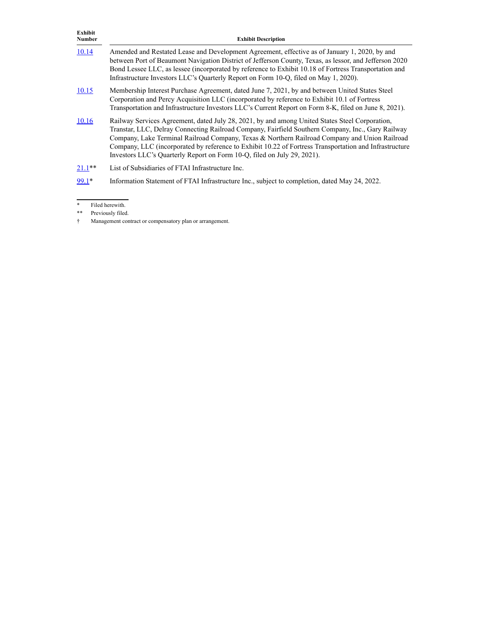| Exhibit<br><b>Number</b> | <b>Exhibit Description</b>                                                                                                                                                                                                                                                                                                                                                                                                                                                                |
|--------------------------|-------------------------------------------------------------------------------------------------------------------------------------------------------------------------------------------------------------------------------------------------------------------------------------------------------------------------------------------------------------------------------------------------------------------------------------------------------------------------------------------|
| 10.14                    | Amended and Restated Lease and Development Agreement, effective as of January 1, 2020, by and<br>between Port of Beaumont Navigation District of Jefferson County, Texas, as lessor, and Jefferson 2020<br>Bond Lessee LLC, as lessee (incorporated by reference to Exhibit 10.18 of Fortress Transportation and<br>Infrastructure Investors LLC's Quarterly Report on Form 10-Q, filed on May 1, 2020).                                                                                  |
| 10.15                    | Membership Interest Purchase Agreement, dated June 7, 2021, by and between United States Steel<br>Corporation and Percy Acquisition LLC (incorporated by reference to Exhibit 10.1 of Fortress<br>Transportation and Infrastructure Investors LLC's Current Report on Form 8-K, filed on June 8, 2021).                                                                                                                                                                                   |
| 10.16                    | Railway Services Agreement, dated July 28, 2021, by and among United States Steel Corporation,<br>Transtar, LLC, Delray Connecting Railroad Company, Fairfield Southern Company, Inc., Gary Railway<br>Company, Lake Terminal Railroad Company, Texas & Northern Railroad Company and Union Railroad<br>Company, LLC (incorporated by reference to Exhibit 10.22 of Fortress Transportation and Infrastructure<br>Investors LLC's Quarterly Report on Form 10-Q, filed on July 29, 2021). |
| $21.1***$                | List of Subsidiaries of FTAI Infrastructure Inc.                                                                                                                                                                                                                                                                                                                                                                                                                                          |
| 99.1*                    | Information Statement of FTAI Infrastructure Inc., subject to completion, dated May 24, 2022.                                                                                                                                                                                                                                                                                                                                                                                             |

<sup>\*</sup> Filed herewith.

<sup>\*\*</sup> Previously filed.

<sup>†</sup> Management contract or compensatory plan or arrangement.